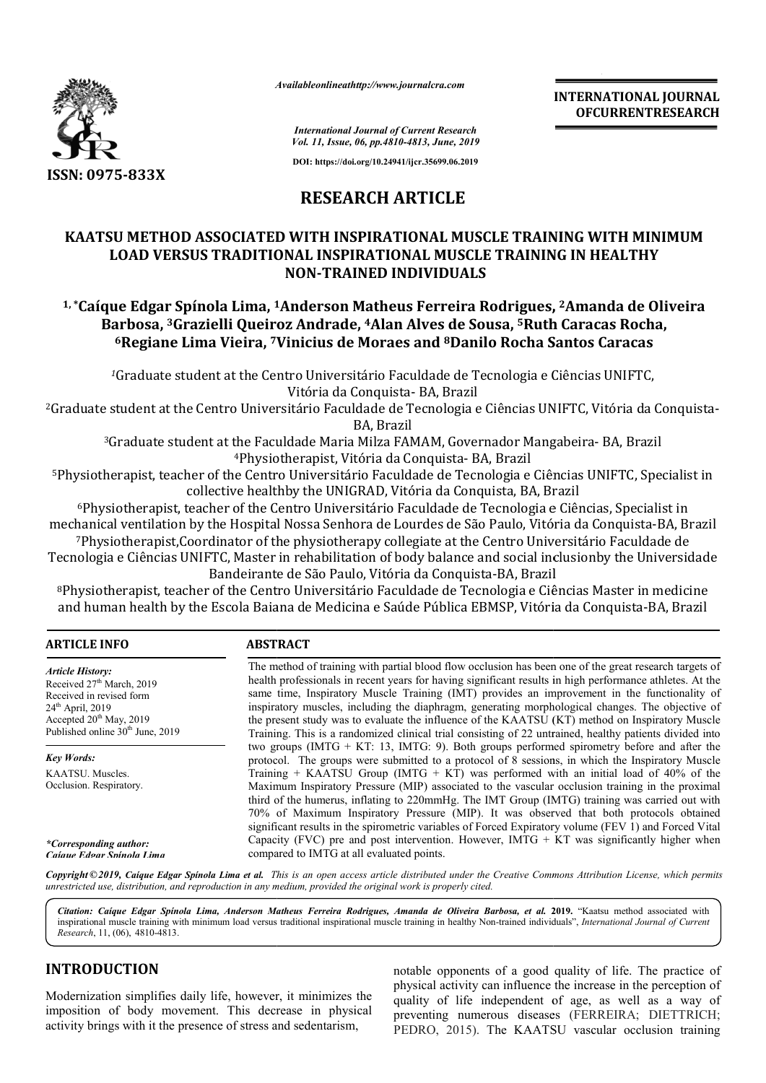

*Availableonlineathttp://www.journal Availableonlineathttp://www.journalcra.com*

**INTERNATIONAL JOURNAL OFCURRENTRESEARCH**

*International Journal of Current Research Vol. 11, Issue, 06, pp.4810-4813, June, 2019*

**DOI: https://doi.org/10.24941/ijcr.35699.06.2019**

### **RESEARCH ARTICLE**

## **KAATSU METHOD ASSOCIATED WITH INSPIRATIONAL MUSCLE TRAINING WITH MINIMUM LOAD VERSUS TRADITIONAL INSPIRATIONAL MUSCLE TRAINING IN HEALTHY 1, \*Caíque Edgar Spínola Lima, 1**<br> **1, \*Caíque Edgar Spínola Lima, 1Anderson Matheus Ferreira Rodrigues, <sup>2</sup>Amanda de Oliveira<br>
<sup>1,</sup> \*Caíque Edgar Spínola Lima, <sup>1</sup>Anderson Matheus Ferreira Rodrigues, <sup>2</sup>Amanda de Oliveir NON-TRAINED INDIVIDUALS**

# **Barbosa, 3Grazielli Queiroz Andrade Grazielli Andrade, 4Alan Alves de Sousa, 5Ruth Caracas Rocha Ruth Rocha, 6Regiane Lima Vieira, 7Vinicius de Moraes Vinicius and 8Danilo Rocha Santos Caracas**

*<sup>1</sup>*Graduate student at the Centro Universitário Faculdade de Tecnologia e Ciências UNIFTC, 2Graduate student at the Centro Universitário Faculdade de Tecnologia e Ciências UNIFTC, Vitória da Conquista Universitário Faculdade e Ciências Conquista-Vitória da Conquista- BA, Brazil

BA, Brazil

3Graduate student at the Faculdade Maria Milza FAMAM, Governador Mangabeira Mangabeira- BA, Brazil 4Physiotherapist hysiotherapist, Vitória da Conquista- BA, Brazil

<sup>5</sup>Physiotherapist, teacher of the Centro Universitário Faculdade de Tecnologia e Ciências UNIFTC, Specialist in<br>collective healthby the UNIGRAD, Vitória da Conquista, BA, Brazil collective healthby the UNIGRAD, Vitória da Conquista, BA, Brazil

6Physiotherapist, teacher of the Centro Universitário Faculdade de Tecnologia e Ciências, Universitário de Ciências, Specialist in mechanical ventilation by the Hospital Nossa Senhora de Lourdes de São Paulo, Vitória da Conquista-BA, Brazil <sup>6</sup>Physiotherapist, teacher of the Centro Universitário Faculdade de Tecnologia e Ciências, Specialist in<br>hanical ventilation by the Hospital Nossa Senhora de Lourdes de São Paulo, Vitória da Conquista-BA, B1<br><sup>7</sup>Physiother <sup>7</sup>Physiotherapist,Coordinator of the physiotherapy collegiate at the Centro Universitário Faculdade de<br>Tecnologia e Ciências UNIFTC, Master in rehabilitation of body balance and social inclusionby the Universidade

Bandeirante de São Paulo, Vitória da Conquista-BA, Brazil

Bandeirante de São Paulo, Vitória da Conquista-BA, Brazil<br>Physiotherapist, teacher of the Centro Universitário Faculdade de Tecnologia e Ciências Master in medicine® and human health by the Escola Baiana de Medicina e Saúde Pública EBMSP, Vitória da Conquista-BA, Brazil

#### **ARTICLE INFO ABSTRACT**

The method of training with partial blood flow occlusion has been one of the great research targets of health professionals in recent years for having significant results in high performance athletes. At the same time, Inspiratory Muscle Training (IMT) provides an improvement in the functionality of inspiratory muscles, including the diaphragm, generating morphological changes. The objective of the present study was to evaluate the influence of the KAATSU (KT) method on Inspiratory Muscle Training. This is a randomized clinical trial consisting of 22 untrained, healthy patients divided into two groups (IMTG + KT: 13, IMTG: 9). Both groups performed spirometry before and after the protocol. The groups were submitted to a p protocol of 8 sessions, in which the Inspiratory Muscle Training  $+$  KAATSU Group (IMTG  $+$  KT) was performed with an initial load of 40% of the Maximum Inspiratory Pressure (MIP) associated to the vascular occlusion training in the proximal third of the humerus, inflating to 220mmHg. The IMT Group (IMTG) training was carried out with 70% of Maximum Inspiratory Pressure (MIP). It was observed that both protocols obtained significant results in the spirometric variables of Forced Expiratory volume (FEV 1) and Forced Vital Capacity (FVC) pre and post intervention. However,  $IMTG + KT$  was significantly higher when compared to IMTG at all evaluated points. *Article History:* Received 27<sup>th</sup> March, 2019 Received in revised form 24<sup>th</sup> April, 2019 Accepted 20<sup>th</sup> May, 2019 Published online 30<sup>th</sup> June, 2019 *Key Words:* KAATSU. Muscles. Occlusion. Respiratory. *\*Corresponding author: Caíque Edgar Spínola Lima* method of training with partial blood flow occlusion has been one of the great research targets of th professionals in recent years for having significant results in high performance athletes. At the  $e$  time, Inspiratory Training. This is a randomized clinical trial consisting of 22 untrained, healthy patients divided into two groups (IMTG + KT: 13, IMTG: 9). Both groups performed spirometry before and after the protocol. The groups were

Copyright © 2019, Caique Edgar Spinola Lima et al. This is an open access article distributed under the Creative Commons Attribution License, which permits *unrestricted use, distribution, and reproduction in any medium, provided the original work is properly cited.*

Citation: Caíque Edgar Spínola Lima, Anderson Matheus Ferreira Rodrigues, Amanda de Oliveira Barbosa, et al. 2019. "Kaatsu method associated with inspirational muscle training with minimum load versus traditional inspirational muscle training in healthy Non-trained individuals", *International Journal of Current Research*, 11, (06), 4810-4813.

#### **INTRODUCTION**

Modernization simplifies daily life, however, it minimizes the imposition of body movement. This decrease in physical activity brings with it the presence of stress and sedentarism,

notable opponents of a good quality of life. The practice of physical activity can influence the increase in the perception of quality of life independent of age, as well as a way of physical activity can influence the increase in the perception of quality of life independent of age, as well as a way of preventing numerous diseases (FERREIRA; DIETTRICH; PEDRO, 2015). The KAATSU vascular occlusion training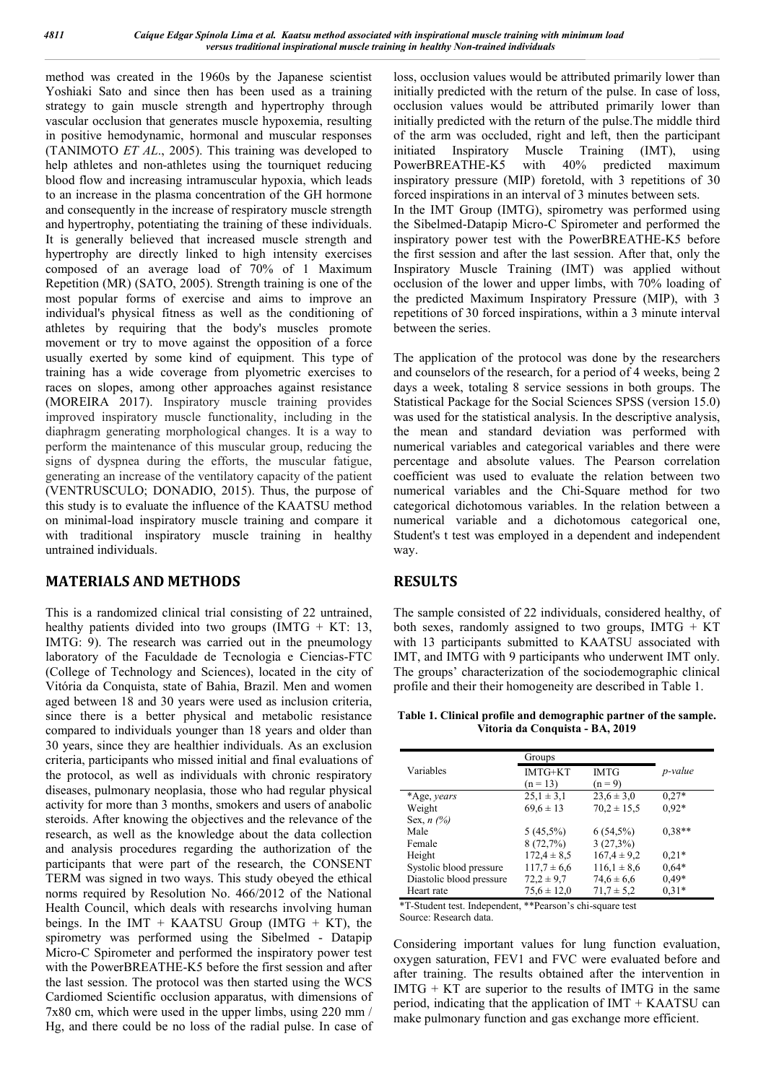method was created in the 1960s by the Japanese scientist Yoshiaki Sato and since then has been used as a training strategy to gain muscle strength and hypertrophy through vascular occlusion that generates muscle hypoxemia, resulting in positive hemodynamic, hormonal and muscular responses (TANIMOTO *ET AL*., 2005). This training was developed to help athletes and non-athletes using the tourniquet reducing blood flow and increasing intramuscular hypoxia, which leads to an increase in the plasma concentration of the GH hormone and consequently in the increase of respiratory muscle strength and hypertrophy, potentiating the training of these individuals. It is generally believed that increased muscle strength and hypertrophy are directly linked to high intensity exercises composed of an average load of 70% of 1 Maximum Repetition (MR) (SATO, 2005). Strength training is one of the most popular forms of exercise and aims to improve an individual's physical fitness as well as the conditioning of athletes by requiring that the body's muscles promote movement or try to move against the opposition of a force usually exerted by some kind of equipment. This type of training has a wide coverage from plyometric exercises to races on slopes, among other approaches against resistance (MOREIRA 2017). Inspiratory muscle training provides improved inspiratory muscle functionality, including in the diaphragm generating morphological changes. It is a way to perform the maintenance of this muscular group, reducing the signs of dyspnea during the efforts, the muscular fatigue, generating an increase of the ventilatory capacity of the patient (VENTRUSCULO; DONADIO, 2015). Thus, the purpose of this study is to evaluate the influence of the KAATSU method on minimal-load inspiratory muscle training and compare it with traditional inspiratory muscle training in healthy untrained individuals.

#### **MATERIALS AND METHODS**

This is a randomized clinical trial consisting of 22 untrained, healthy patients divided into two groups  $(IMTG + KT: 13, ...)$ IMTG: 9). The research was carried out in the pneumology laboratory of the Faculdade de Tecnologia e Ciencias-FTC (College of Technology and Sciences), located in the city of Vitória da Conquista, state of Bahia, Brazil. Men and women aged between 18 and 30 years were used as inclusion criteria, since there is a better physical and metabolic resistance compared to individuals younger than 18 years and older than 30 years, since they are healthier individuals. As an exclusion criteria, participants who missed initial and final evaluations of the protocol, as well as individuals with chronic respiratory diseases, pulmonary neoplasia, those who had regular physical activity for more than 3 months, smokers and users of anabolic steroids. After knowing the objectives and the relevance of the research, as well as the knowledge about the data collection and analysis procedures regarding the authorization of the participants that were part of the research, the CONSENT TERM was signed in two ways. This study obeyed the ethical norms required by Resolution No. 466/2012 of the National Health Council, which deals with researchs involving human beings. In the IMT + KAATSU Group (IMTG + KT), the spirometry was performed using the Sibelmed - Datapip Micro-C Spirometer and performed the inspiratory power test with the PowerBREATHE-K5 before the first session and after the last session. The protocol was then started using the WCS Cardiomed Scientific occlusion apparatus, with dimensions of 7x80 cm, which were used in the upper limbs, using 220 mm / Hg, and there could be no loss of the radial pulse. In case of loss, occlusion values would be attributed primarily lower than initially predicted with the return of the pulse. In case of loss, occlusion values would be attributed primarily lower than initially predicted with the return of the pulse.The middle third of the arm was occluded, right and left, then the participant initiated Inspiratory Muscle Training (IMT), using PowerBREATHE-K5 with 40% predicted maximum inspiratory pressure (MIP) foretold, with 3 repetitions of 30 forced inspirations in an interval of 3 minutes between sets. In the IMT Group (IMTG), spirometry was performed using the Sibelmed-Datapip Micro-C Spirometer and performed the inspiratory power test with the PowerBREATHE-K5 before the first session and after the last session. After that, only the Inspiratory Muscle Training (IMT) was applied without occlusion of the lower and upper limbs, with 70% loading of the predicted Maximum Inspiratory Pressure (MIP), with 3 repetitions of 30 forced inspirations, within a 3 minute interval between the series.

The application of the protocol was done by the researchers and counselors of the research, for a period of 4 weeks, being 2 days a week, totaling 8 service sessions in both groups. The Statistical Package for the Social Sciences SPSS (version 15.0) was used for the statistical analysis. In the descriptive analysis, the mean and standard deviation was performed with numerical variables and categorical variables and there were percentage and absolute values. The Pearson correlation coefficient was used to evaluate the relation between two numerical variables and the Chi-Square method for two categorical dichotomous variables. In the relation between a numerical variable and a dichotomous categorical one, Student's t test was employed in a dependent and independent way.

#### **RESULTS**

The sample consisted of 22 individuals, considered healthy, of both sexes, randomly assigned to two groups,  $IMTG + KT$ with 13 participants submitted to KAATSU associated with IMT, and IMTG with 9 participants who underwent IMT only. The groups' characterization of the sociodemographic clinical profile and their their homogeneity are described in Table 1.

**Table 1. Clinical profile and demographic partner of the sample. Vitoria da Conquista - BA, 2019**

|                          | Groups          |                 |                 |  |
|--------------------------|-----------------|-----------------|-----------------|--|
| Variables                | IMTG+KT         | <b>IMTG</b>     | <i>p</i> -value |  |
|                          | $(n = 13)$      | $(n = 9)$       |                 |  |
| *Age, years              | $25.1 \pm 3.1$  | $23.6 \pm 3.0$  | $0.27*$         |  |
| Weight                   | $69.6 \pm 13$   | $70.2 \pm 15.5$ | $0.92*$         |  |
| Sex, $n$ (%)             |                 |                 |                 |  |
| Male                     | $5(45,5\%)$     | $6(54,5\%)$     | $0.38**$        |  |
| Female                   | 8(72,7%)        | 3(27,3%)        |                 |  |
| Height                   | $172.4 \pm 8.5$ | $167.4 \pm 9.2$ | $0.21*$         |  |
| Systolic blood pressure  | $117.7 \pm 6.6$ | $116.1 \pm 8.6$ | $0.64*$         |  |
| Diastolic blood pressure | $72.2 \pm 9.7$  | $74,6 \pm 6,6$  | $0.49*$         |  |
| Heart rate               | $75.6 \pm 12.0$ | $71.7 \pm 5.2$  | $0.31*$         |  |

\*T-Student test. Independent, \*\*Pearson's chi-square test Source: Research data.

Considering important values for lung function evaluation, oxygen saturation, FEV1 and FVC were evaluated before and after training. The results obtained after the intervention in  $IMTG + KT$  are superior to the results of IMTG in the same period, indicating that the application of IMT + KAATSU can make pulmonary function and gas exchange more efficient.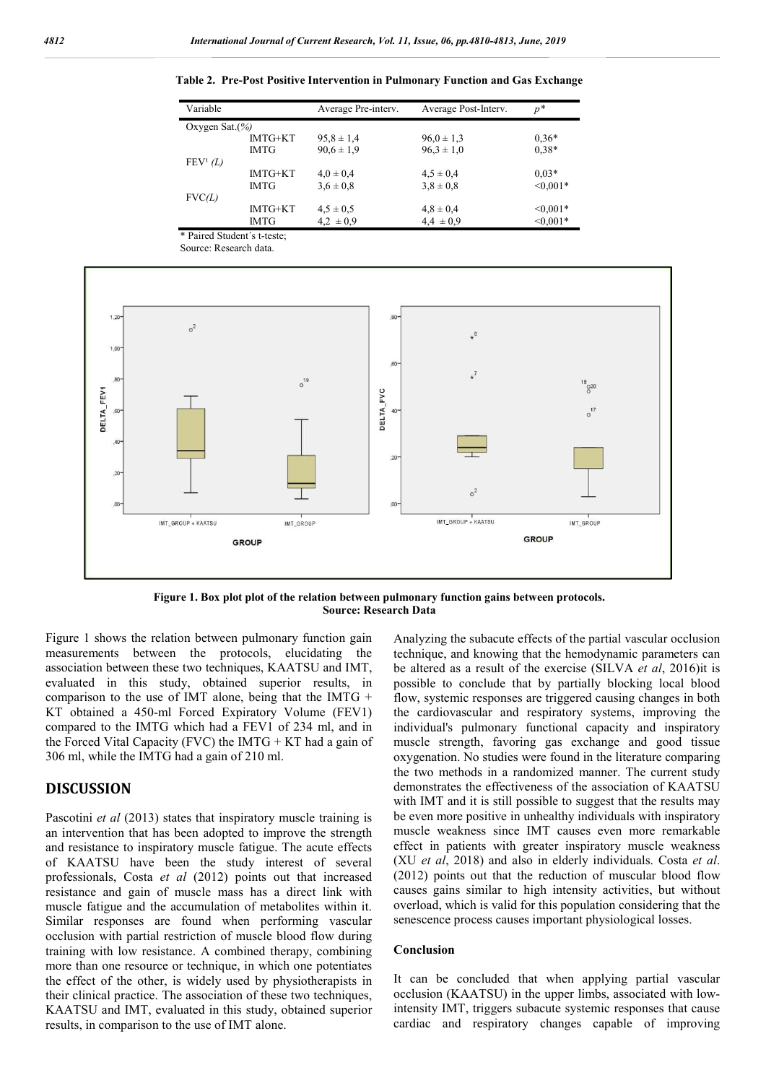| Variable             |             | Average Pre-interv. | Average Post-Interv. | $p^*$      |  |  |
|----------------------|-------------|---------------------|----------------------|------------|--|--|
| Oxygen Sat. $(\% )$  |             |                     |                      |            |  |  |
|                      | IMTG+KT     | $95.8 \pm 1.4$      | $96.0 \pm 1.3$       | $0.36*$    |  |  |
|                      | <b>IMTG</b> | $90.6 \pm 1.9$      | $96.3 \pm 1.0$       | $0.38*$    |  |  |
| FEV <sup>1</sup> (L) |             |                     |                      |            |  |  |
|                      | IMTG+KT     | $4.0 \pm 0.4$       | $4.5 \pm 0.4$        | $0.03*$    |  |  |
|                      | <b>IMTG</b> | $3.6 \pm 0.8$       | $3.8 \pm 0.8$        | $< 0.001*$ |  |  |
| FVC(L)               |             |                     |                      |            |  |  |
|                      | IMTG+KT     | $4.5 \pm 0.5$       | $4,8 \pm 0,4$        | $< 0.001*$ |  |  |
|                      | <b>IMTG</b> | $4.2 \pm 0.9$       | $4.4 \pm 0.9$        | $< 0.001*$ |  |  |

**Table 2. Pre-Post Positive Intervention in Pulmonary Function and Gas Exchange**



**Figure 1. Box plot plot of the relation between pulmonary function gains between protocols. Source: Research Data**

Figure 1 shows the relation between pulmonary function gain measurements between the protocols, elucidating the association between these two techniques, KAATSU and IMT, evaluated in this study, obtained superior results, in comparison to the use of IMT alone, being that the IMTG  $+$ KT obtained a 450-ml Forced Expiratory Volume (FEV1) compared to the IMTG which had a FEV1 of 234 ml, and in the Forced Vital Capacity (FVC) the IMTG  $+$  KT had a gain of 306 ml, while the IMTG had a gain of 210 ml.

\* Paired Student´s t-teste;

#### **DISCUSSION**

Pascotini *et al* (2013) states that inspiratory muscle training is an intervention that has been adopted to improve the strength and resistance to inspiratory muscle fatigue. The acute effects of KAATSU have been the study interest of several professionals, Costa *et al* (2012) points out that increased resistance and gain of muscle mass has a direct link with muscle fatigue and the accumulation of metabolites within it. Similar responses are found when performing vascular occlusion with partial restriction of muscle blood flow during training with low resistance. A combined therapy, combining more than one resource or technique, in which one potentiates the effect of the other, is widely used by physiotherapists in their clinical practice. The association of these two techniques, KAATSU and IMT, evaluated in this study, obtained superior results, in comparison to the use of IMT alone.

Analyzing the subacute effects of the partial vascular occlusion technique, and knowing that the hemodynamic parameters can be altered as a result of the exercise (SILVA *et al*, 2016)it is possible to conclude that by partially blocking local blood flow, systemic responses are triggered causing changes in both the cardiovascular and respiratory systems, improving the individual's pulmonary functional capacity and inspiratory muscle strength, favoring gas exchange and good tissue oxygenation. No studies were found in the literature comparing the two methods in a randomized manner. The current study demonstrates the effectiveness of the association of KAATSU with IMT and it is still possible to suggest that the results may be even more positive in unhealthy individuals with inspiratory muscle weakness since IMT causes even more remarkable effect in patients with greater inspiratory muscle weakness (XU *et al*, 2018) and also in elderly individuals. Costa *et al*. (2012) points out that the reduction of muscular blood flow causes gains similar to high intensity activities, but without overload, which is valid for this population considering that the senescence process causes important physiological losses.

#### **Conclusion**

It can be concluded that when applying partial vascular occlusion (KAATSU) in the upper limbs, associated with lowintensity IMT, triggers subacute systemic responses that cause cardiac and respiratory changes capable of improving